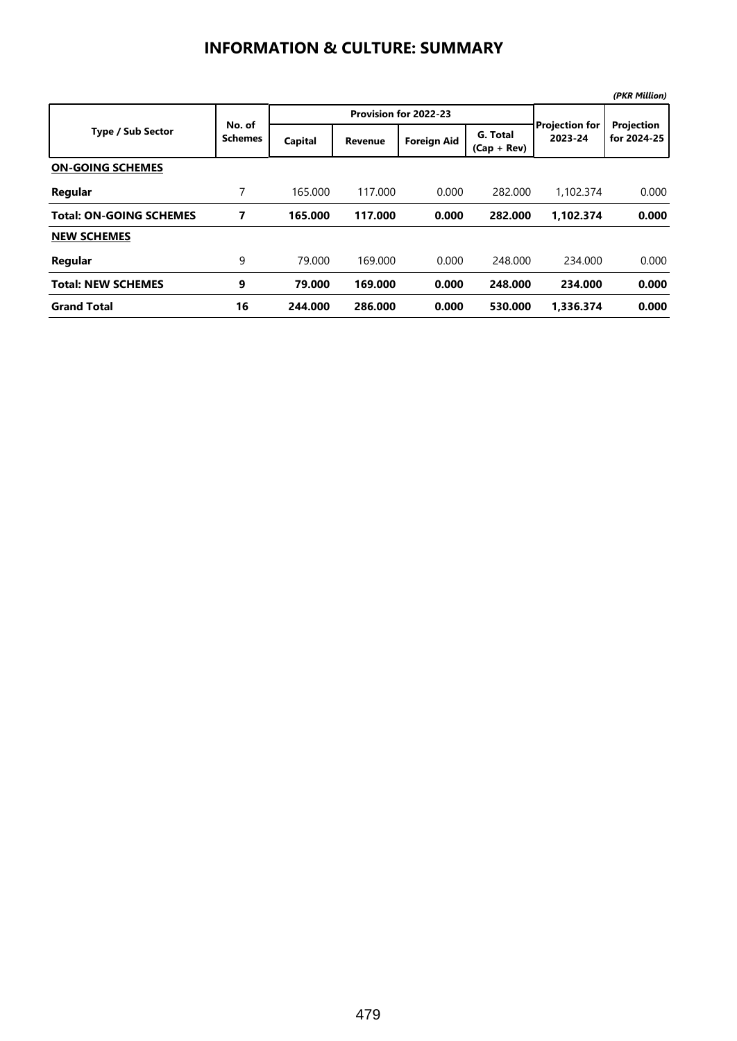## **INFORMATION & CULTURE: SUMMARY**

|                                |                          |         |                       |                    |                           |                                  | (PKR Million)             |
|--------------------------------|--------------------------|---------|-----------------------|--------------------|---------------------------|----------------------------------|---------------------------|
|                                | No. of<br><b>Schemes</b> |         | Provision for 2022-23 |                    |                           |                                  |                           |
| <b>Type / Sub Sector</b>       |                          | Capital | <b>Revenue</b>        | <b>Foreign Aid</b> | G. Total<br>$(Cap + Rev)$ | <b>Projection for</b><br>2023-24 | Projection<br>for 2024-25 |
| <b>ON-GOING SCHEMES</b>        |                          |         |                       |                    |                           |                                  |                           |
| Regular                        | 7                        | 165.000 | 117,000               | 0.000              | 282,000                   | 1.102.374                        | 0.000                     |
| <b>Total: ON-GOING SCHEMES</b> | 7                        | 165.000 | 117.000               | 0.000              | 282.000                   | 1.102.374                        | 0.000                     |
| <b>NEW SCHEMES</b>             |                          |         |                       |                    |                           |                                  |                           |
| Regular                        | 9                        | 79.000  | 169.000               | 0.000              | 248,000                   | 234,000                          | 0.000                     |
| <b>Total: NEW SCHEMES</b>      | 9                        | 79.000  | 169,000               | 0.000              | 248.000                   | 234.000                          | 0.000                     |
| <b>Grand Total</b>             | 16                       | 244.000 | 286.000               | 0.000              | 530.000                   | 1.336.374                        | 0.000                     |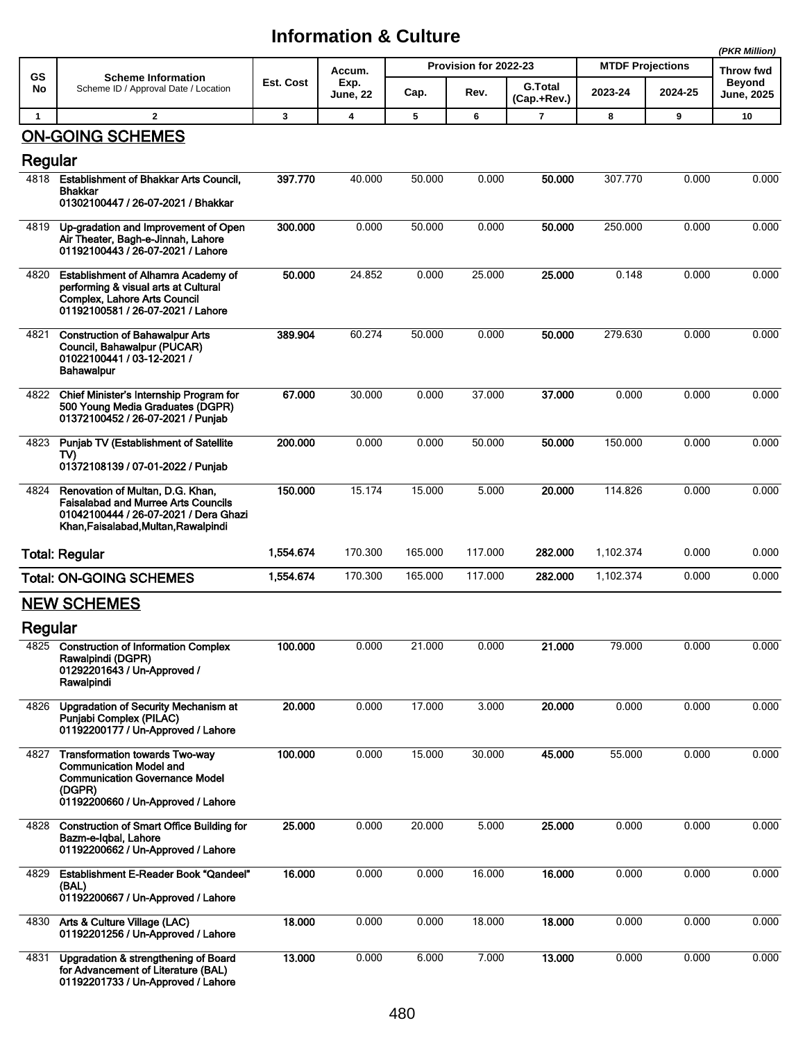## **Information & Culture**

|              |                                                                                                                                                                  |           |                            |                       |         |                               |                         |         | (PKR Million)              |  |
|--------------|------------------------------------------------------------------------------------------------------------------------------------------------------------------|-----------|----------------------------|-----------------------|---------|-------------------------------|-------------------------|---------|----------------------------|--|
| <b>GS</b>    | <b>Scheme Information</b><br>Scheme ID / Approval Date / Location                                                                                                | Est. Cost | Accum.<br>Exp.<br>June, 22 | Provision for 2022-23 |         |                               | <b>MTDF Projections</b> |         | Throw fwd<br><b>Beyond</b> |  |
| No           |                                                                                                                                                                  |           |                            | Cap.                  | Rev.    | <b>G.Total</b><br>(Cap.+Rev.) | 2023-24                 | 2024-25 | <b>June, 2025</b>          |  |
| $\mathbf{1}$ | $\overline{2}$                                                                                                                                                   | 3         | 4                          | 5                     | 6       | $\overline{\mathbf{r}}$       | 8                       | 9       | 10                         |  |
| Regular      | <b>ON-GOING SCHEMES</b>                                                                                                                                          |           |                            |                       |         |                               |                         |         |                            |  |
| 4818         | <b>Establishment of Bhakkar Arts Council,</b><br>Bhakkar<br>01302100447 / 26-07-2021 / Bhakkar                                                                   | 397.770   | 40.000                     | 50.000                | 0.000   | 50.000                        | 307.770                 | 0.000   | 0.000                      |  |
| 4819         | Up-gradation and Improvement of Open<br>Air Theater, Bagh-e-Jinnah, Lahore<br>01192100443 / 26-07-2021 / Lahore                                                  | 300.000   | 0.000                      | 50.000                | 0.000   | 50.000                        | 250.000                 | 0.000   | 0.000                      |  |
| 4820         | <b>Establishment of Alhamra Academy of</b><br>performing & visual arts at Cultural<br>Complex, Lahore Arts Council<br>01192100581 / 26-07-2021 / Lahore          | 50.000    | 24.852                     | 0.000                 | 25.000  | 25.000                        | 0.148                   | 0.000   | 0.000                      |  |
| 4821         | <b>Construction of Bahawalpur Arts</b><br>Council, Bahawalpur (PUCAR)<br>01022100441 / 03-12-2021 /<br><b>Bahawalpur</b>                                         | 389.904   | 60.274                     | 50.000                | 0.000   | 50.000                        | 279.630                 | 0.000   | 0.000                      |  |
| 4822         | Chief Minister's Internship Program for<br>500 Young Media Graduates (DGPR)<br>01372100452 / 26-07-2021 / Punjab                                                 | 67.000    | 30.000                     | 0.000                 | 37.000  | 37,000                        | 0.000                   | 0.000   | 0.000                      |  |
| 4823         | Punjab TV (Establishment of Satellite<br>TV)<br>01372108139 / 07-01-2022 / Punjab                                                                                | 200.000   | 0.000                      | 0.000                 | 50.000  | 50.000                        | 150.000                 | 0.000   | 0.000                      |  |
| 4824         | Renovation of Multan, D.G. Khan,<br><b>Faisalabad and Murree Arts Councils</b><br>01042100444 / 26-07-2021 / Dera Ghazi<br>Khan, Faisalabad, Multan, Rawalpindi  | 150.000   | 15.174                     | 15.000                | 5.000   | 20.000                        | 114.826                 | 0.000   | 0.000                      |  |
|              | <b>Total: Regular</b>                                                                                                                                            | 1,554.674 | 170.300                    | 165.000               | 117.000 | 282.000                       | 1,102.374               | 0.000   | 0.000                      |  |
|              | <b>Total: ON-GOING SCHEMES</b>                                                                                                                                   | 1,554.674 | 170.300                    | 165.000               | 117.000 | 282.000                       | 1,102.374               | 0.000   | 0.000                      |  |
| Regular      | <b>NEW SCHEMES</b>                                                                                                                                               |           |                            |                       |         |                               |                         |         |                            |  |
| 4825         | <b>Construction of Information Complex</b><br>Rawalpindi (DGPR)<br>01292201643 / Un-Approved /<br>Rawalpindi                                                     | 100.000   | 0.000                      | 21.000                | 0.000   | 21.000                        | 79.000                  | 0.000   | 0.000                      |  |
| 4826         | <b>Upgradation of Security Mechanism at</b><br><b>Punjabi Complex (PILAC)</b><br>01192200177 / Un-Approved / Lahore                                              | 20.000    | 0.000                      | 17.000                | 3.000   | 20.000                        | 0.000                   | 0.000   | 0.000                      |  |
| 4827         | <b>Transformation towards Two-way</b><br><b>Communication Model and</b><br><b>Communication Governance Model</b><br>(DGPR)<br>01192200660 / Un-Approved / Lahore | 100.000   | 0.000                      | 15.000                | 30.000  | 45.000                        | 55.000                  | 0.000   | 0.000                      |  |
| 4828         | <b>Construction of Smart Office Building for</b><br>Bazm-e-Iqbal, Lahore<br>01192200662 / Un-Approved / Lahore                                                   | 25.000    | 0.000                      | 20.000                | 5.000   | 25.000                        | 0.000                   | 0.000   | 0.000                      |  |
| 4829         | Establishment E-Reader Book "Qandeel"<br>(BAL)<br>01192200667 / Un-Approved / Lahore                                                                             | 16.000    | 0.000                      | 0.000                 | 16.000  | 16.000                        | 0.000                   | 0.000   | 0.000                      |  |
| 4830         | Arts & Culture Village (LAC)<br>01192201256 / Un-Approved / Lahore                                                                                               | 18.000    | 0.000                      | 0.000                 | 18.000  | 18.000                        | 0.000                   | 0.000   | 0.000                      |  |
| 4831         | Upgradation & strengthening of Board<br>for Advancement of Literature (BAL)<br>01192201733 / Un-Approved / Lahore                                                | 13.000    | 0.000                      | 6.000                 | 7.000   | 13.000                        | 0.000                   | 0.000   | 0.000                      |  |